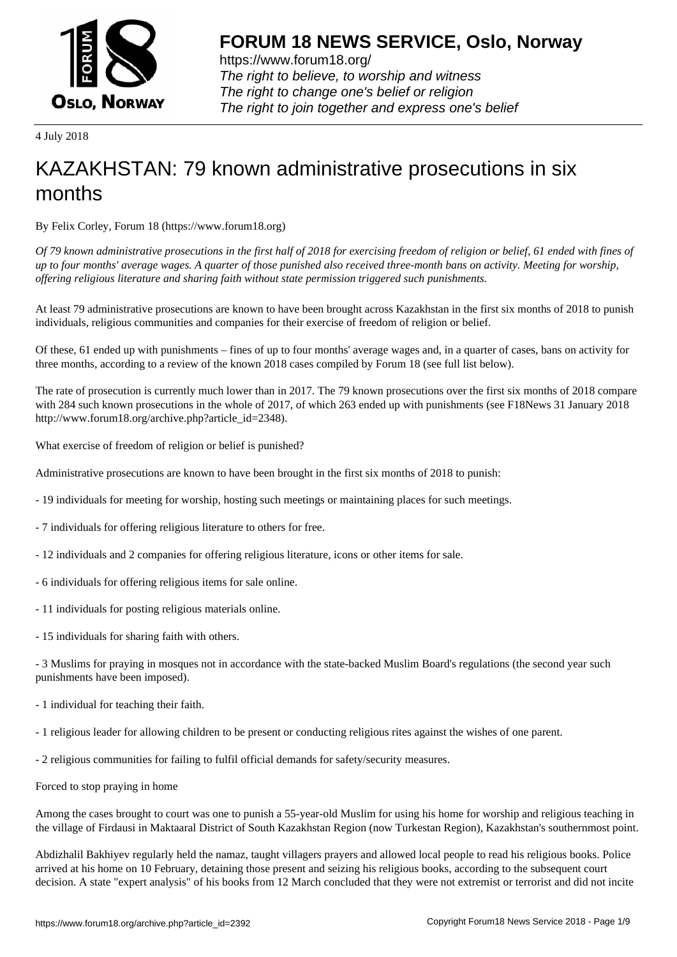

https://www.forum18.org/ The right to believe, to worship and witness The right to change one's belief or religion [The right to join together a](https://www.forum18.org/)nd express one's belief

4 July 2018

## [KAZAKHSTAN:](https://www.forum18.org) 79 known administrative prosecutions in six months

By Felix Corley, Forum 18 (https://www.forum18.org)

*Of 79 known administrative prosecutions in the first half of 2018 for exercising freedom of religion or belief, 61 ended with fines of up to four months' average wages. A quarter of those punished also received three-month bans on activity. Meeting for worship, offering religious literature and sharing faith without state permission triggered such punishments.*

At least 79 administrative prosecutions are known to have been brought across Kazakhstan in the first six months of 2018 to punish individuals, religious communities and companies for their exercise of freedom of religion or belief.

Of these, 61 ended up with punishments – fines of up to four months' average wages and, in a quarter of cases, bans on activity for three months, according to a review of the known 2018 cases compiled by Forum 18 (see full list below).

The rate of prosecution is currently much lower than in 2017. The 79 known prosecutions over the first six months of 2018 compare with 284 such known prosecutions in the whole of 2017, of which 263 ended up with punishments (see F18News 31 January 2018 http://www.forum18.org/archive.php?article\_id=2348).

What exercise of freedom of religion or belief is punished?

Administrative prosecutions are known to have been brought in the first six months of 2018 to punish:

- 19 individuals for meeting for worship, hosting such meetings or maintaining places for such meetings.
- 7 individuals for offering religious literature to others for free.
- 12 individuals and 2 companies for offering religious literature, icons or other items for sale.
- 6 individuals for offering religious items for sale online.
- 11 individuals for posting religious materials online.
- 15 individuals for sharing faith with others.

- 3 Muslims for praying in mosques not in accordance with the state-backed Muslim Board's regulations (the second year such punishments have been imposed).

- 1 individual for teaching their faith.
- 1 religious leader for allowing children to be present or conducting religious rites against the wishes of one parent.
- 2 religious communities for failing to fulfil official demands for safety/security measures.
- Forced to stop praying in home

Among the cases brought to court was one to punish a 55-year-old Muslim for using his home for worship and religious teaching in the village of Firdausi in Maktaaral District of South Kazakhstan Region (now Turkestan Region), Kazakhstan's southernmost point.

Abdizhalil Bakhiyev regularly held the namaz, taught villagers prayers and allowed local people to read his religious books. Police arrived at his home on 10 February, detaining those present and seizing his religious books, according to the subsequent court decision. A state "expert analysis" of his books from 12 March concluded that they were not extremist or terrorist and did not incite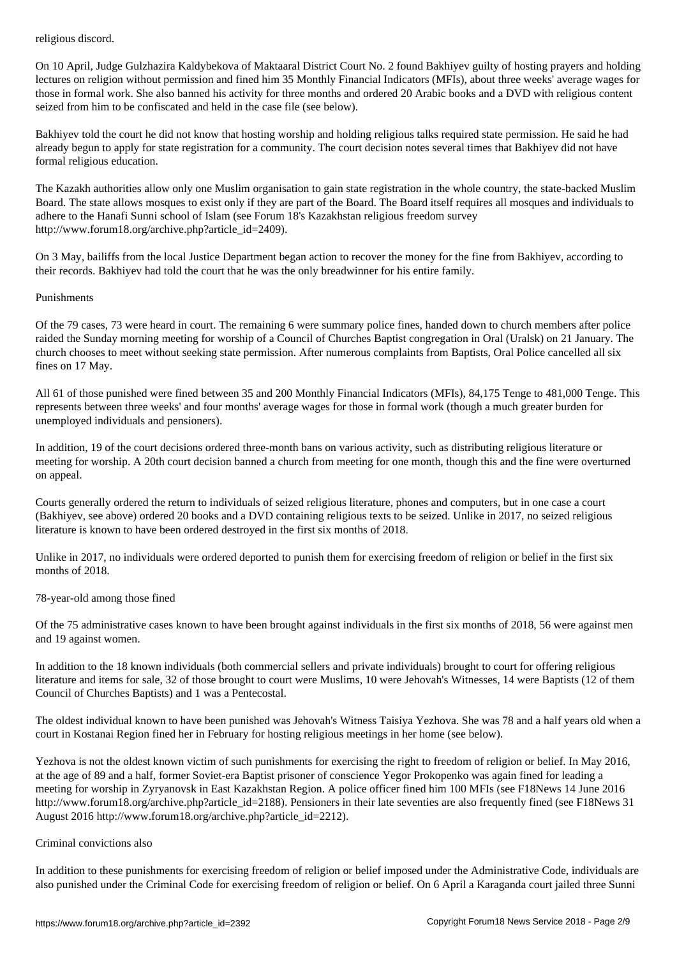On 10 April, Judge Gulzhazira Kaldybekova of Maktaaral District Court No. 2 found Bakhiyev guilty of hosting prayers and holding lectures on religion without permission and fined him 35 Monthly Financial Indicators (MFIs), about three weeks' average wages for those in formal work. She also banned his activity for three months and ordered 20 Arabic books and a DVD with religious content seized from him to be confiscated and held in the case file (see below).

Bakhiyev told the court he did not know that hosting worship and holding religious talks required state permission. He said he had already begun to apply for state registration for a community. The court decision notes several times that Bakhiyev did not have formal religious education.

The Kazakh authorities allow only one Muslim organisation to gain state registration in the whole country, the state-backed Muslim Board. The state allows mosques to exist only if they are part of the Board. The Board itself requires all mosques and individuals to adhere to the Hanafi Sunni school of Islam (see Forum 18's Kazakhstan religious freedom survey http://www.forum18.org/archive.php?article\_id=2409).

On 3 May, bailiffs from the local Justice Department began action to recover the money for the fine from Bakhiyev, according to their records. Bakhiyev had told the court that he was the only breadwinner for his entire family.

## Punishments

Of the 79 cases, 73 were heard in court. The remaining 6 were summary police fines, handed down to church members after police raided the Sunday morning meeting for worship of a Council of Churches Baptist congregation in Oral (Uralsk) on 21 January. The church chooses to meet without seeking state permission. After numerous complaints from Baptists, Oral Police cancelled all six fines on 17 May.

All 61 of those punished were fined between 35 and 200 Monthly Financial Indicators (MFIs), 84,175 Tenge to 481,000 Tenge. This represents between three weeks' and four months' average wages for those in formal work (though a much greater burden for unemployed individuals and pensioners).

In addition, 19 of the court decisions ordered three-month bans on various activity, such as distributing religious literature or meeting for worship. A 20th court decision banned a church from meeting for one month, though this and the fine were overturned on appeal.

Courts generally ordered the return to individuals of seized religious literature, phones and computers, but in one case a court (Bakhiyev, see above) ordered 20 books and a DVD containing religious texts to be seized. Unlike in 2017, no seized religious literature is known to have been ordered destroyed in the first six months of 2018.

Unlike in 2017, no individuals were ordered deported to punish them for exercising freedom of religion or belief in the first six months of 2018.

78-year-old among those fined

Of the 75 administrative cases known to have been brought against individuals in the first six months of 2018, 56 were against men and 19 against women.

In addition to the 18 known individuals (both commercial sellers and private individuals) brought to court for offering religious literature and items for sale, 32 of those brought to court were Muslims, 10 were Jehovah's Witnesses, 14 were Baptists (12 of them Council of Churches Baptists) and 1 was a Pentecostal.

The oldest individual known to have been punished was Jehovah's Witness Taisiya Yezhova. She was 78 and a half years old when a court in Kostanai Region fined her in February for hosting religious meetings in her home (see below).

Yezhova is not the oldest known victim of such punishments for exercising the right to freedom of religion or belief. In May 2016, at the age of 89 and a half, former Soviet-era Baptist prisoner of conscience Yegor Prokopenko was again fined for leading a meeting for worship in Zyryanovsk in East Kazakhstan Region. A police officer fined him 100 MFIs (see F18News 14 June 2016 http://www.forum18.org/archive.php?article\_id=2188). Pensioners in their late seventies are also frequently fined (see F18News 31 August 2016 http://www.forum18.org/archive.php?article\_id=2212).

## Criminal convictions also

In addition to these punishments for exercising freedom of religion or belief imposed under the Administrative Code, individuals are also punished under the Criminal Code for exercising freedom of religion or belief. On 6 April a Karaganda court jailed three Sunni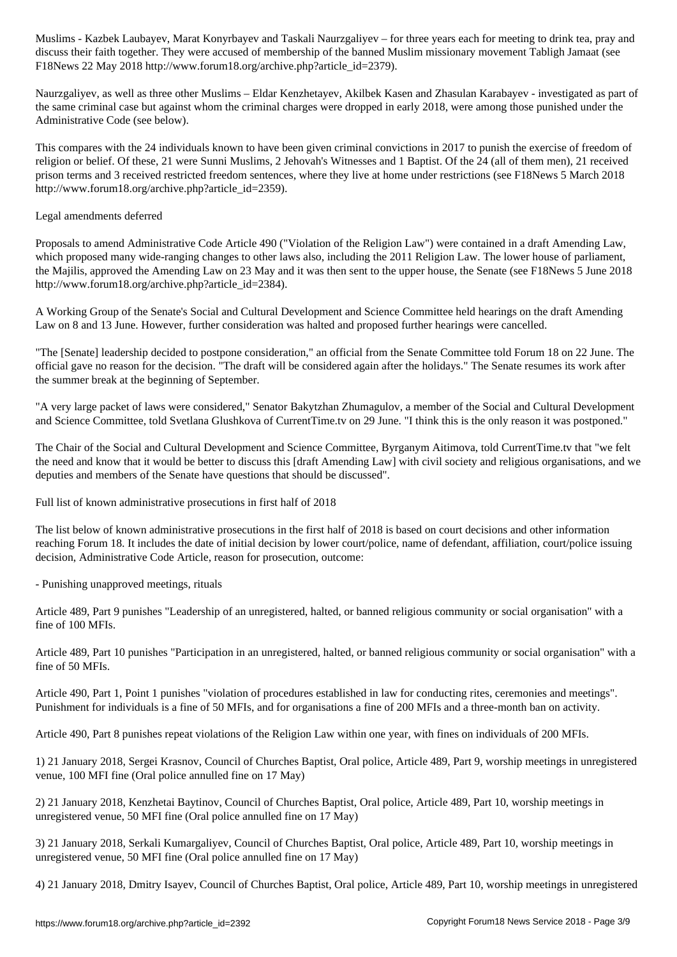discuss their faith together. They were accused of membership of the banned Muslim missionary movement Tabligh Jamaat (see F18News 22 May 2018 http://www.forum18.org/archive.php?article\_id=2379).

Naurzgaliyev, as well as three other Muslims – Eldar Kenzhetayev, Akilbek Kasen and Zhasulan Karabayev - investigated as part of the same criminal case but against whom the criminal charges were dropped in early 2018, were among those punished under the Administrative Code (see below).

This compares with the 24 individuals known to have been given criminal convictions in 2017 to punish the exercise of freedom of religion or belief. Of these, 21 were Sunni Muslims, 2 Jehovah's Witnesses and 1 Baptist. Of the 24 (all of them men), 21 received prison terms and 3 received restricted freedom sentences, where they live at home under restrictions (see F18News 5 March 2018 http://www.forum18.org/archive.php?article\_id=2359).

## Legal amendments deferred

Proposals to amend Administrative Code Article 490 ("Violation of the Religion Law") were contained in a draft Amending Law, which proposed many wide-ranging changes to other laws also, including the 2011 Religion Law. The lower house of parliament, the Majilis, approved the Amending Law on 23 May and it was then sent to the upper house, the Senate (see F18News 5 June 2018 http://www.forum18.org/archive.php?article\_id=2384).

A Working Group of the Senate's Social and Cultural Development and Science Committee held hearings on the draft Amending Law on 8 and 13 June. However, further consideration was halted and proposed further hearings were cancelled.

"The [Senate] leadership decided to postpone consideration," an official from the Senate Committee told Forum 18 on 22 June. The official gave no reason for the decision. "The draft will be considered again after the holidays." The Senate resumes its work after the summer break at the beginning of September.

"A very large packet of laws were considered," Senator Bakytzhan Zhumagulov, a member of the Social and Cultural Development and Science Committee, told Svetlana Glushkova of CurrentTime.tv on 29 June. "I think this is the only reason it was postponed."

The Chair of the Social and Cultural Development and Science Committee, Byrganym Aitimova, told CurrentTime.tv that "we felt the need and know that it would be better to discuss this [draft Amending Law] with civil society and religious organisations, and we deputies and members of the Senate have questions that should be discussed".

Full list of known administrative prosecutions in first half of 2018

The list below of known administrative prosecutions in the first half of 2018 is based on court decisions and other information reaching Forum 18. It includes the date of initial decision by lower court/police, name of defendant, affiliation, court/police issuing decision, Administrative Code Article, reason for prosecution, outcome:

- Punishing unapproved meetings, rituals

Article 489, Part 9 punishes "Leadership of an unregistered, halted, or banned religious community or social organisation" with a fine of 100 MFIs.

Article 489, Part 10 punishes "Participation in an unregistered, halted, or banned religious community or social organisation" with a fine of 50 MFIs.

Article 490, Part 1, Point 1 punishes "violation of procedures established in law for conducting rites, ceremonies and meetings". Punishment for individuals is a fine of 50 MFIs, and for organisations a fine of 200 MFIs and a three-month ban on activity.

Article 490, Part 8 punishes repeat violations of the Religion Law within one year, with fines on individuals of 200 MFIs.

1) 21 January 2018, Sergei Krasnov, Council of Churches Baptist, Oral police, Article 489, Part 9, worship meetings in unregistered venue, 100 MFI fine (Oral police annulled fine on 17 May)

2) 21 January 2018, Kenzhetai Baytinov, Council of Churches Baptist, Oral police, Article 489, Part 10, worship meetings in unregistered venue, 50 MFI fine (Oral police annulled fine on 17 May)

3) 21 January 2018, Serkali Kumargaliyev, Council of Churches Baptist, Oral police, Article 489, Part 10, worship meetings in unregistered venue, 50 MFI fine (Oral police annulled fine on 17 May)

4) 21 January 2018, Dmitry Isayev, Council of Churches Baptist, Oral police, Article 489, Part 10, worship meetings in unregistered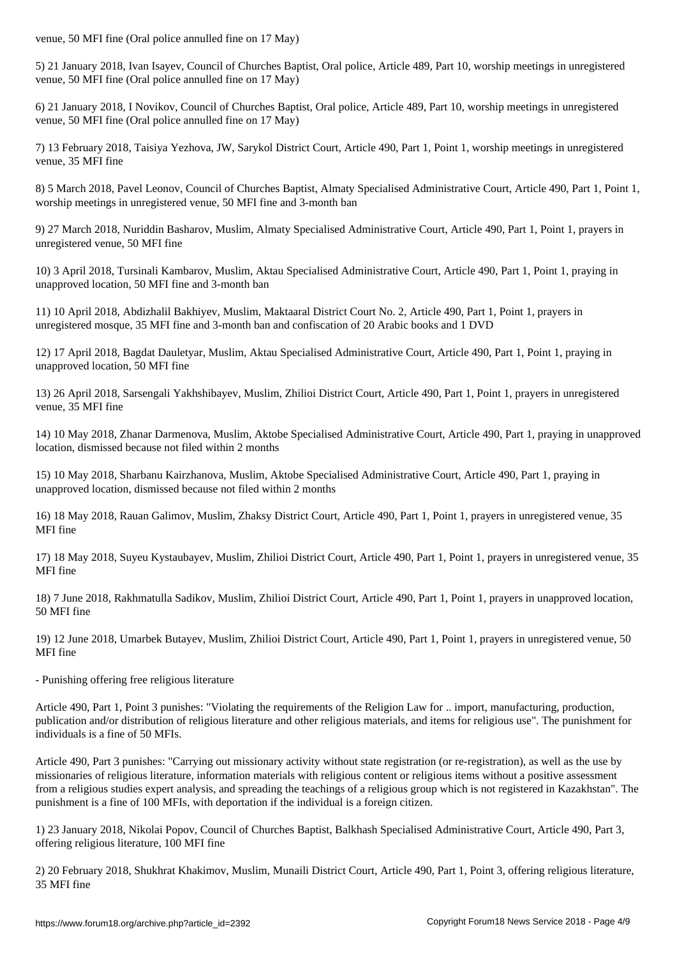5) 21 January 2018, Ivan Isayev, Council of Churches Baptist, Oral police, Article 489, Part 10, worship meetings in unregistered venue, 50 MFI fine (Oral police annulled fine on 17 May)

6) 21 January 2018, I Novikov, Council of Churches Baptist, Oral police, Article 489, Part 10, worship meetings in unregistered venue, 50 MFI fine (Oral police annulled fine on 17 May)

7) 13 February 2018, Taisiya Yezhova, JW, Sarykol District Court, Article 490, Part 1, Point 1, worship meetings in unregistered venue, 35 MFI fine

8) 5 March 2018, Pavel Leonov, Council of Churches Baptist, Almaty Specialised Administrative Court, Article 490, Part 1, Point 1, worship meetings in unregistered venue, 50 MFI fine and 3-month ban

9) 27 March 2018, Nuriddin Basharov, Muslim, Almaty Specialised Administrative Court, Article 490, Part 1, Point 1, prayers in unregistered venue, 50 MFI fine

10) 3 April 2018, Tursinali Kambarov, Muslim, Aktau Specialised Administrative Court, Article 490, Part 1, Point 1, praying in unapproved location, 50 MFI fine and 3-month ban

11) 10 April 2018, Abdizhalil Bakhiyev, Muslim, Maktaaral District Court No. 2, Article 490, Part 1, Point 1, prayers in unregistered mosque, 35 MFI fine and 3-month ban and confiscation of 20 Arabic books and 1 DVD

12) 17 April 2018, Bagdat Dauletyar, Muslim, Aktau Specialised Administrative Court, Article 490, Part 1, Point 1, praying in unapproved location, 50 MFI fine

13) 26 April 2018, Sarsengali Yakhshibayev, Muslim, Zhilioi District Court, Article 490, Part 1, Point 1, prayers in unregistered venue, 35 MFI fine

14) 10 May 2018, Zhanar Darmenova, Muslim, Aktobe Specialised Administrative Court, Article 490, Part 1, praying in unapproved location, dismissed because not filed within 2 months

15) 10 May 2018, Sharbanu Kairzhanova, Muslim, Aktobe Specialised Administrative Court, Article 490, Part 1, praying in unapproved location, dismissed because not filed within 2 months

16) 18 May 2018, Rauan Galimov, Muslim, Zhaksy District Court, Article 490, Part 1, Point 1, prayers in unregistered venue, 35 MFI fine

17) 18 May 2018, Suyeu Kystaubayev, Muslim, Zhilioi District Court, Article 490, Part 1, Point 1, prayers in unregistered venue, 35 MFI fine

18) 7 June 2018, Rakhmatulla Sadikov, Muslim, Zhilioi District Court, Article 490, Part 1, Point 1, prayers in unapproved location, 50 MFI fine

19) 12 June 2018, Umarbek Butayev, Muslim, Zhilioi District Court, Article 490, Part 1, Point 1, prayers in unregistered venue, 50 MFI fine

- Punishing offering free religious literature

Article 490, Part 1, Point 3 punishes: "Violating the requirements of the Religion Law for .. import, manufacturing, production, publication and/or distribution of religious literature and other religious materials, and items for religious use". The punishment for individuals is a fine of 50 MFIs.

Article 490, Part 3 punishes: "Carrying out missionary activity without state registration (or re-registration), as well as the use by missionaries of religious literature, information materials with religious content or religious items without a positive assessment from a religious studies expert analysis, and spreading the teachings of a religious group which is not registered in Kazakhstan". The punishment is a fine of 100 MFIs, with deportation if the individual is a foreign citizen.

1) 23 January 2018, Nikolai Popov, Council of Churches Baptist, Balkhash Specialised Administrative Court, Article 490, Part 3, offering religious literature, 100 MFI fine

2) 20 February 2018, Shukhrat Khakimov, Muslim, Munaili District Court, Article 490, Part 1, Point 3, offering religious literature, 35 MFI fine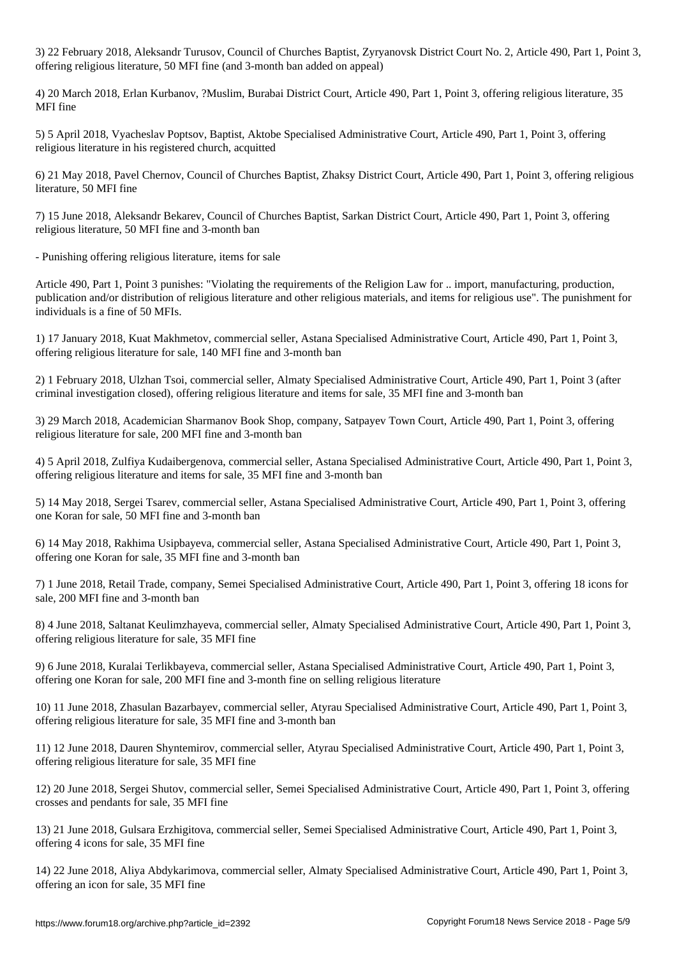3) 22 February 2018, Aleksandr Turusov, Council of Churches Baptist, Zyryanovsk District Court No. 2, Article 490, Part 1, Point 3, offering religious literature, 50 MFI fine (and 3-month ban added on appeal)

4) 20 March 2018, Erlan Kurbanov, ?Muslim, Burabai District Court, Article 490, Part 1, Point 3, offering religious literature, 35 MFI fine

5) 5 April 2018, Vyacheslav Poptsov, Baptist, Aktobe Specialised Administrative Court, Article 490, Part 1, Point 3, offering religious literature in his registered church, acquitted

6) 21 May 2018, Pavel Chernov, Council of Churches Baptist, Zhaksy District Court, Article 490, Part 1, Point 3, offering religious literature, 50 MFI fine

7) 15 June 2018, Aleksandr Bekarev, Council of Churches Baptist, Sarkan District Court, Article 490, Part 1, Point 3, offering religious literature, 50 MFI fine and 3-month ban

- Punishing offering religious literature, items for sale

Article 490, Part 1, Point 3 punishes: "Violating the requirements of the Religion Law for .. import, manufacturing, production, publication and/or distribution of religious literature and other religious materials, and items for religious use". The punishment for individuals is a fine of 50 MFIs.

1) 17 January 2018, Kuat Makhmetov, commercial seller, Astana Specialised Administrative Court, Article 490, Part 1, Point 3, offering religious literature for sale, 140 MFI fine and 3-month ban

2) 1 February 2018, Ulzhan Tsoi, commercial seller, Almaty Specialised Administrative Court, Article 490, Part 1, Point 3 (after criminal investigation closed), offering religious literature and items for sale, 35 MFI fine and 3-month ban

3) 29 March 2018, Academician Sharmanov Book Shop, company, Satpayev Town Court, Article 490, Part 1, Point 3, offering religious literature for sale, 200 MFI fine and 3-month ban

4) 5 April 2018, Zulfiya Kudaibergenova, commercial seller, Astana Specialised Administrative Court, Article 490, Part 1, Point 3, offering religious literature and items for sale, 35 MFI fine and 3-month ban

5) 14 May 2018, Sergei Tsarev, commercial seller, Astana Specialised Administrative Court, Article 490, Part 1, Point 3, offering one Koran for sale, 50 MFI fine and 3-month ban

6) 14 May 2018, Rakhima Usipbayeva, commercial seller, Astana Specialised Administrative Court, Article 490, Part 1, Point 3, offering one Koran for sale, 35 MFI fine and 3-month ban

7) 1 June 2018, Retail Trade, company, Semei Specialised Administrative Court, Article 490, Part 1, Point 3, offering 18 icons for sale, 200 MFI fine and 3-month ban

8) 4 June 2018, Saltanat Keulimzhayeva, commercial seller, Almaty Specialised Administrative Court, Article 490, Part 1, Point 3, offering religious literature for sale, 35 MFI fine

9) 6 June 2018, Kuralai Terlikbayeva, commercial seller, Astana Specialised Administrative Court, Article 490, Part 1, Point 3, offering one Koran for sale, 200 MFI fine and 3-month fine on selling religious literature

10) 11 June 2018, Zhasulan Bazarbayev, commercial seller, Atyrau Specialised Administrative Court, Article 490, Part 1, Point 3, offering religious literature for sale, 35 MFI fine and 3-month ban

11) 12 June 2018, Dauren Shyntemirov, commercial seller, Atyrau Specialised Administrative Court, Article 490, Part 1, Point 3, offering religious literature for sale, 35 MFI fine

12) 20 June 2018, Sergei Shutov, commercial seller, Semei Specialised Administrative Court, Article 490, Part 1, Point 3, offering crosses and pendants for sale, 35 MFI fine

13) 21 June 2018, Gulsara Erzhigitova, commercial seller, Semei Specialised Administrative Court, Article 490, Part 1, Point 3, offering 4 icons for sale, 35 MFI fine

14) 22 June 2018, Aliya Abdykarimova, commercial seller, Almaty Specialised Administrative Court, Article 490, Part 1, Point 3, offering an icon for sale, 35 MFI fine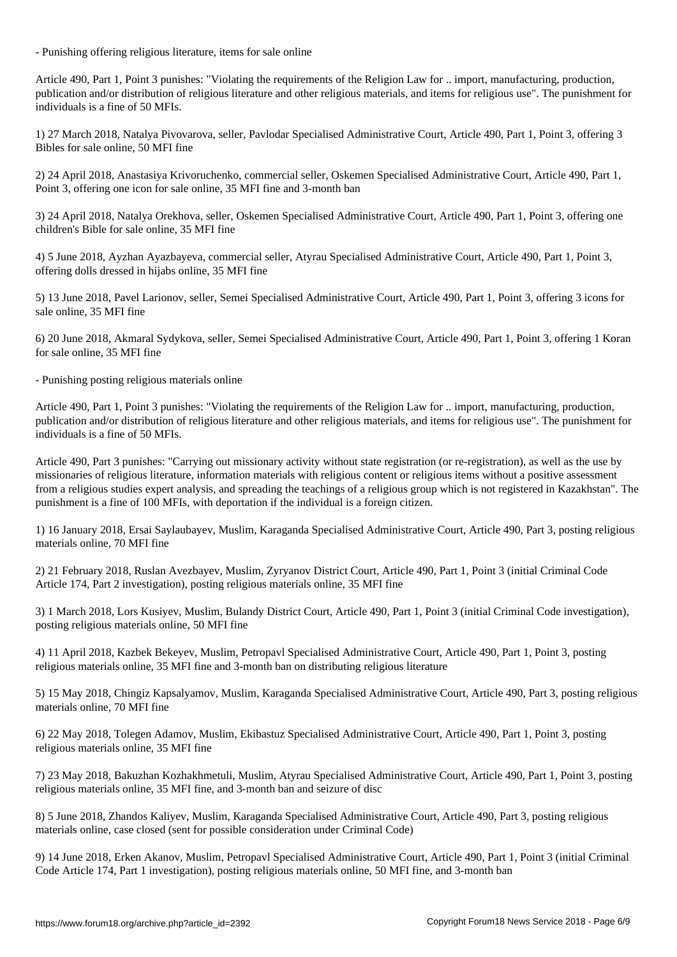- Punishing offering religious literature, items for sale online

Article 490, Part 1, Point 3 punishes: "Violating the requirements of the Religion Law for .. import, manufacturing, production, publication and/or distribution of religious literature and other religious materials, and items for religious use". The punishment for individuals is a fine of 50 MFIs.

1) 27 March 2018, Natalya Pivovarova, seller, Pavlodar Specialised Administrative Court, Article 490, Part 1, Point 3, offering 3 Bibles for sale online, 50 MFI fine

2) 24 April 2018, Anastasiya Krivoruchenko, commercial seller, Oskemen Specialised Administrative Court, Article 490, Part 1, Point 3, offering one icon for sale online, 35 MFI fine and 3-month ban

3) 24 April 2018, Natalya Orekhova, seller, Oskemen Specialised Administrative Court, Article 490, Part 1, Point 3, offering one children's Bible for sale online, 35 MFI fine

4) 5 June 2018, Ayzhan Ayazbayeva, commercial seller, Atyrau Specialised Administrative Court, Article 490, Part 1, Point 3, offering dolls dressed in hijabs online, 35 MFI fine

5) 13 June 2018, Pavel Larionov, seller, Semei Specialised Administrative Court, Article 490, Part 1, Point 3, offering 3 icons for sale online, 35 MFI fine

6) 20 June 2018, Akmaral Sydykova, seller, Semei Specialised Administrative Court, Article 490, Part 1, Point 3, offering 1 Koran for sale online, 35 MFI fine

- Punishing posting religious materials online

Article 490, Part 1, Point 3 punishes: "Violating the requirements of the Religion Law for .. import, manufacturing, production, publication and/or distribution of religious literature and other religious materials, and items for religious use". The punishment for individuals is a fine of 50 MFIs.

Article 490, Part 3 punishes: "Carrying out missionary activity without state registration (or re-registration), as well as the use by missionaries of religious literature, information materials with religious content or religious items without a positive assessment from a religious studies expert analysis, and spreading the teachings of a religious group which is not registered in Kazakhstan". The punishment is a fine of 100 MFIs, with deportation if the individual is a foreign citizen.

1) 16 January 2018, Ersai Saylaubayev, Muslim, Karaganda Specialised Administrative Court, Article 490, Part 3, posting religious materials online, 70 MFI fine

2) 21 February 2018, Ruslan Avezbayev, Muslim, Zyryanov District Court, Article 490, Part 1, Point 3 (initial Criminal Code Article 174, Part 2 investigation), posting religious materials online, 35 MFI fine

3) 1 March 2018, Lors Kusiyev, Muslim, Bulandy District Court, Article 490, Part 1, Point 3 (initial Criminal Code investigation), posting religious materials online, 50 MFI fine

4) 11 April 2018, Kazbek Bekeyev, Muslim, Petropavl Specialised Administrative Court, Article 490, Part 1, Point 3, posting religious materials online, 35 MFI fine and 3-month ban on distributing religious literature

5) 15 May 2018, Chingiz Kapsalyamov, Muslim, Karaganda Specialised Administrative Court, Article 490, Part 3, posting religious materials online, 70 MFI fine

6) 22 May 2018, Tolegen Adamov, Muslim, Ekibastuz Specialised Administrative Court, Article 490, Part 1, Point 3, posting religious materials online, 35 MFI fine

7) 23 May 2018, Bakuzhan Kozhakhmetuli, Muslim, Atyrau Specialised Administrative Court, Article 490, Part 1, Point 3, posting religious materials online, 35 MFI fine, and 3-month ban and seizure of disc

8) 5 June 2018, Zhandos Kaliyev, Muslim, Karaganda Specialised Administrative Court, Article 490, Part 3, posting religious materials online, case closed (sent for possible consideration under Criminal Code)

9) 14 June 2018, Erken Akanov, Muslim, Petropavl Specialised Administrative Court, Article 490, Part 1, Point 3 (initial Criminal Code Article 174, Part 1 investigation), posting religious materials online, 50 MFI fine, and 3-month ban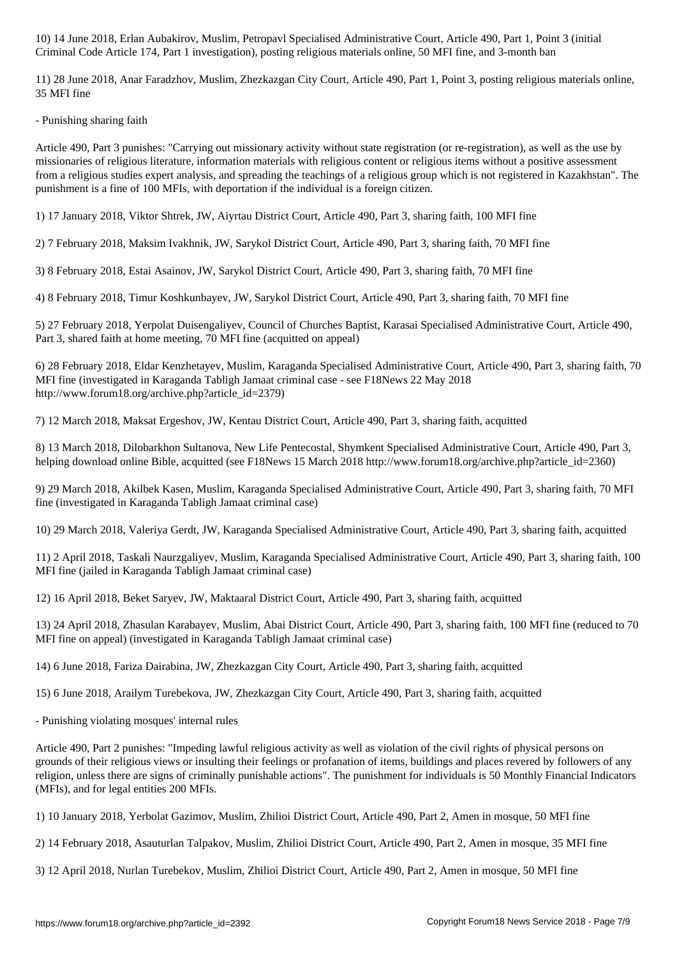Criminal Code Article 174, Part 1 investigation), posting religious materials online, 50 MFI fine, and 3-month ban

11) 28 June 2018, Anar Faradzhov, Muslim, Zhezkazgan City Court, Article 490, Part 1, Point 3, posting religious materials online, 35 MFI fine

- Punishing sharing faith

Article 490, Part 3 punishes: "Carrying out missionary activity without state registration (or re-registration), as well as the use by missionaries of religious literature, information materials with religious content or religious items without a positive assessment from a religious studies expert analysis, and spreading the teachings of a religious group which is not registered in Kazakhstan". The punishment is a fine of 100 MFIs, with deportation if the individual is a foreign citizen.

1) 17 January 2018, Viktor Shtrek, JW, Aiyrtau District Court, Article 490, Part 3, sharing faith, 100 MFI fine

2) 7 February 2018, Maksim Ivakhnik, JW, Sarykol District Court, Article 490, Part 3, sharing faith, 70 MFI fine

3) 8 February 2018, Estai Asainov, JW, Sarykol District Court, Article 490, Part 3, sharing faith, 70 MFI fine

4) 8 February 2018, Timur Koshkunbayev, JW, Sarykol District Court, Article 490, Part 3, sharing faith, 70 MFI fine

5) 27 February 2018, Yerpolat Duisengaliyev, Council of Churches Baptist, Karasai Specialised Administrative Court, Article 490, Part 3, shared faith at home meeting, 70 MFI fine (acquitted on appeal)

6) 28 February 2018, Eldar Kenzhetayev, Muslim, Karaganda Specialised Administrative Court, Article 490, Part 3, sharing faith, 70 MFI fine (investigated in Karaganda Tabligh Jamaat criminal case - see F18News 22 May 2018 http://www.forum18.org/archive.php?article\_id=2379)

7) 12 March 2018, Maksat Ergeshov, JW, Kentau District Court, Article 490, Part 3, sharing faith, acquitted

8) 13 March 2018, Dilobarkhon Sultanova, New Life Pentecostal, Shymkent Specialised Administrative Court, Article 490, Part 3, helping download online Bible, acquitted (see F18News 15 March 2018 http://www.forum18.org/archive.php?article\_id=2360)

9) 29 March 2018, Akilbek Kasen, Muslim, Karaganda Specialised Administrative Court, Article 490, Part 3, sharing faith, 70 MFI fine (investigated in Karaganda Tabligh Jamaat criminal case)

10) 29 March 2018, Valeriya Gerdt, JW, Karaganda Specialised Administrative Court, Article 490, Part 3, sharing faith, acquitted

11) 2 April 2018, Taskali Naurzgaliyev, Muslim, Karaganda Specialised Administrative Court, Article 490, Part 3, sharing faith, 100 MFI fine (jailed in Karaganda Tabligh Jamaat criminal case)

12) 16 April 2018, Beket Saryev, JW, Maktaaral District Court, Article 490, Part 3, sharing faith, acquitted

13) 24 April 2018, Zhasulan Karabayev, Muslim, Abai District Court, Article 490, Part 3, sharing faith, 100 MFI fine (reduced to 70 MFI fine on appeal) (investigated in Karaganda Tabligh Jamaat criminal case)

14) 6 June 2018, Fariza Dairabina, JW, Zhezkazgan City Court, Article 490, Part 3, sharing faith, acquitted

15) 6 June 2018, Arailym Turebekova, JW, Zhezkazgan City Court, Article 490, Part 3, sharing faith, acquitted

- Punishing violating mosques' internal rules

Article 490, Part 2 punishes: "Impeding lawful religious activity as well as violation of the civil rights of physical persons on grounds of their religious views or insulting their feelings or profanation of items, buildings and places revered by followers of any religion, unless there are signs of criminally punishable actions". The punishment for individuals is 50 Monthly Financial Indicators (MFIs), and for legal entities 200 MFIs.

1) 10 January 2018, Yerbolat Gazimov, Muslim, Zhilioi District Court, Article 490, Part 2, Amen in mosque, 50 MFI fine

2) 14 February 2018, Asauturlan Talpakov, Muslim, Zhilioi District Court, Article 490, Part 2, Amen in mosque, 35 MFI fine

3) 12 April 2018, Nurlan Turebekov, Muslim, Zhilioi District Court, Article 490, Part 2, Amen in mosque, 50 MFI fine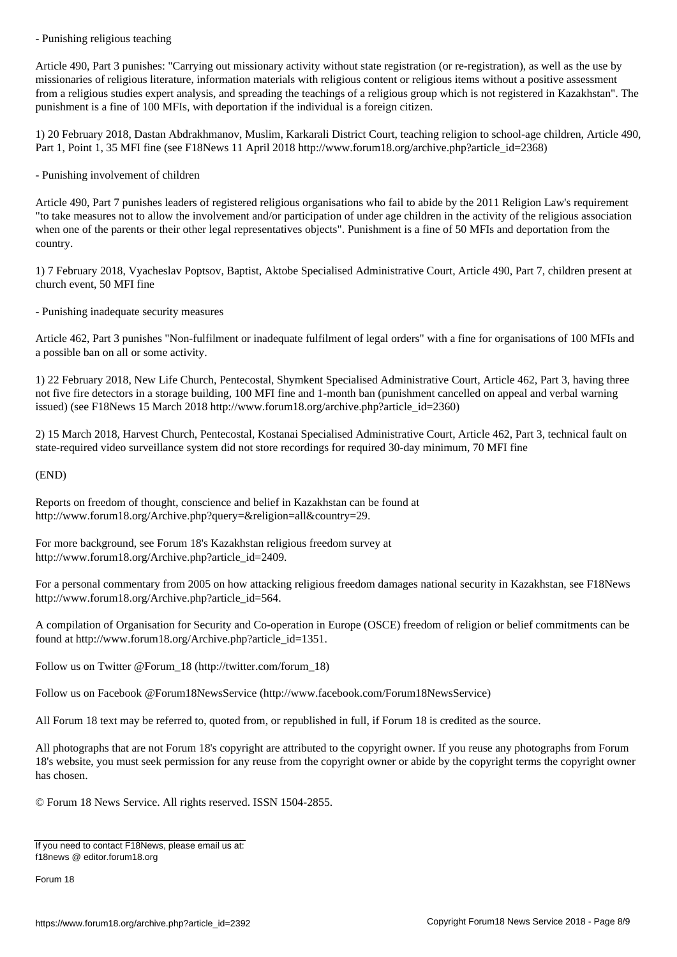Article 490, Part 3 punishes: "Carrying out missionary activity without state registration (or re-registration), as well as the use by missionaries of religious literature, information materials with religious content or religious items without a positive assessment from a religious studies expert analysis, and spreading the teachings of a religious group which is not registered in Kazakhstan". The punishment is a fine of 100 MFIs, with deportation if the individual is a foreign citizen.

1) 20 February 2018, Dastan Abdrakhmanov, Muslim, Karkarali District Court, teaching religion to school-age children, Article 490, Part 1, Point 1, 35 MFI fine (see F18News 11 April 2018 http://www.forum18.org/archive.php?article\_id=2368)

- Punishing involvement of children

Article 490, Part 7 punishes leaders of registered religious organisations who fail to abide by the 2011 Religion Law's requirement "to take measures not to allow the involvement and/or participation of under age children in the activity of the religious association when one of the parents or their other legal representatives objects". Punishment is a fine of 50 MFIs and deportation from the country.

1) 7 February 2018, Vyacheslav Poptsov, Baptist, Aktobe Specialised Administrative Court, Article 490, Part 7, children present at church event, 50 MFI fine

- Punishing inadequate security measures

Article 462, Part 3 punishes "Non-fulfilment or inadequate fulfilment of legal orders" with a fine for organisations of 100 MFIs and a possible ban on all or some activity.

1) 22 February 2018, New Life Church, Pentecostal, Shymkent Specialised Administrative Court, Article 462, Part 3, having three not five fire detectors in a storage building, 100 MFI fine and 1-month ban (punishment cancelled on appeal and verbal warning issued) (see F18News 15 March 2018 http://www.forum18.org/archive.php?article\_id=2360)

2) 15 March 2018, Harvest Church, Pentecostal, Kostanai Specialised Administrative Court, Article 462, Part 3, technical fault on state-required video surveillance system did not store recordings for required 30-day minimum, 70 MFI fine

(END)

Reports on freedom of thought, conscience and belief in Kazakhstan can be found at http://www.forum18.org/Archive.php?query=&religion=all&country=29.

For more background, see Forum 18's Kazakhstan religious freedom survey at http://www.forum18.org/Archive.php?article\_id=2409.

For a personal commentary from 2005 on how attacking religious freedom damages national security in Kazakhstan, see F18News http://www.forum18.org/Archive.php?article\_id=564.

A compilation of Organisation for Security and Co-operation in Europe (OSCE) freedom of religion or belief commitments can be found at http://www.forum18.org/Archive.php?article\_id=1351.

Follow us on Twitter @Forum\_18 (http://twitter.com/forum\_18)

Follow us on Facebook @Forum18NewsService (http://www.facebook.com/Forum18NewsService)

All Forum 18 text may be referred to, quoted from, or republished in full, if Forum 18 is credited as the source.

All photographs that are not Forum 18's copyright are attributed to the copyright owner. If you reuse any photographs from Forum 18's website, you must seek permission for any reuse from the copyright owner or abide by the copyright terms the copyright owner has chosen.

© Forum 18 News Service. All rights reserved. ISSN 1504-2855.

If you need to contact F18News, please email us at: f18news @ editor.forum18.org

Forum 18